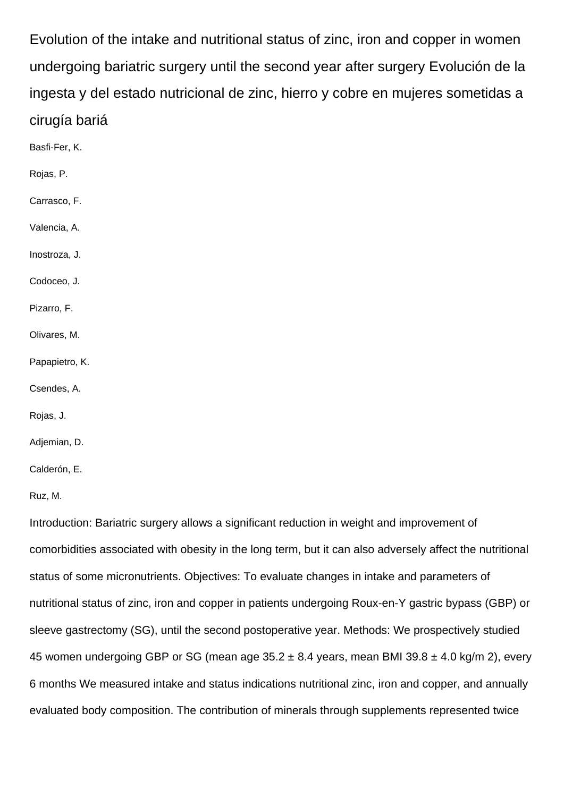Evolution of the intake and nutritional status of zinc, iron and copper in women undergoing bariatric surgery until the second year after surgery Evolución de la ingesta y del estado nutricional de zinc, hierro y cobre en mujeres sometidas a cirugía bariá

- Basfi-Fer, K. Rojas, P. Carrasco, F. Valencia, A. Inostroza, J. Codoceo, J. Pizarro, F. Olivares, M. Papapietro, K. Csendes, A.
- Rojas, J.
- Adjemian, D.
- Calderón, E.

Ruz, M.

Introduction: Bariatric surgery allows a significant reduction in weight and improvement of comorbidities associated with obesity in the long term, but it can also adversely affect the nutritional status of some micronutrients. Objectives: To evaluate changes in intake and parameters of nutritional status of zinc, iron and copper in patients undergoing Roux-en-Y gastric bypass (GBP) or sleeve gastrectomy (SG), until the second postoperative year. Methods: We prospectively studied 45 women undergoing GBP or SG (mean age  $35.2 \pm 8.4$  years, mean BMI 39.8  $\pm$  4.0 kg/m 2), every 6 months We measured intake and status indications nutritional zinc, iron and copper, and annually evaluated body composition. The contribution of minerals through supplements represented twice